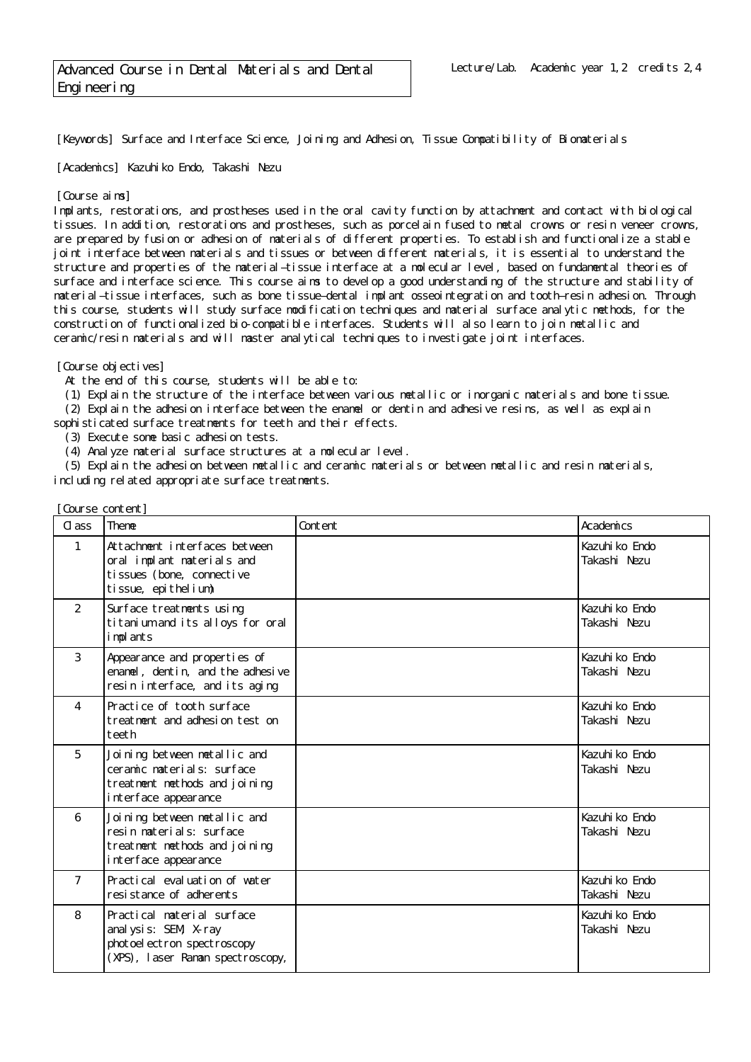[Keywords] Surface and Interface Science, Joining and Adhesion, Tissue Compatibility of Biomaterials

[Academics] Kazuhiko Endo, Takashi Nezu

## [Course aims]

Implants, restorations, and prostheses used in the oral cavity function by attachment and contact with biological tissues. In addition, restorations and prostheses, such as porcelain fused to metal crowns or resin veneer crowns, are prepared by fusion or adhesion of materials of different properties. To establish and functionalize a stable joint interface between materials and tissues or between different materials, it is essential to understand the structure and properties of the material–tissue interface at a molecular level, based on fundamental theories of surface and interface science. This course aims to develop a good understanding of the structure and stability of material–tissue interfaces, such as bone tissue–dental implant osseointegration and tooth–resin adhesion. Through this course, students will study surface modification techniques and material surface analytic methods, for the construction of functionalized bio-compatible interfaces. Students will also learn to join metallic and ceramic/resin materials and will master analytical techniques to investigate joint interfaces.

## [Course objectives]

At the end of this course, students will be able to:

(1) Explain the structure of the interface between various metallic or inorganic materials and bone tissue.

(2) Explain the adhesion interface between the enamel or dentin and adhesive resins, as well as explain

sophisticated surface treatments for teeth and their effects.

(3) Execute some basic adhesion tests.

(4) Analyze material surface structures at a molecular level.

 (5) Explain the adhesion between metallic and ceramic materials or between metallic and resin materials, including related appropriate surface treatments.

| Course content] |                                                                                                                       |         |                                |  |
|-----------------|-----------------------------------------------------------------------------------------------------------------------|---------|--------------------------------|--|
| $C1$ ass        | Theme                                                                                                                 | Content | Academics                      |  |
| $\mathbf{1}$    | Attachment interfaces between<br>oral implant materials and<br>ti ssues (bone, connecti ve<br>tissue, epithelium)     |         | Kazuhi ko Endo<br>Takashi Nezu |  |
| 2               | Surface treatments using<br>titanium and its alloys for oral<br>i mpl ants                                            |         | Kazuhi ko Endo<br>Takashi Nezu |  |
| 3               | Appearance and properties of<br>enamel, dentin, and the adhesive<br>resin interface, and its aging                    |         | Kazuhi ko Endo<br>Takashi Nezu |  |
| $\overline{4}$  | Practice of tooth surface<br>treatment and adhesion test on<br>teeth                                                  |         | Kazuhi ko Endo<br>Takashi Nezu |  |
| 5               | Joining between metallic and<br>ceramic materials: surface<br>treatment methods and joining<br>interface appearance   |         | Kazuhi ko Endo<br>Takashi Nezu |  |
| 6               | Joining between metallic and<br>resin materials: surface<br>treatment methods and joining<br>interface appearance     |         | Kazuhi ko Endo<br>Takashi Nezu |  |
| $\overline{7}$  | Practical evaluation of water<br>resistance of adherents                                                              |         | Kazuhi ko Endo<br>Takashi Nezu |  |
| 8               | Practical material surface<br>anal ysis: SEM X-ray<br>photoel ectron spectroscopy<br>(XPS), laser Raman spectroscopy, |         | Kazuhi ko Endo<br>Takashi Nezu |  |